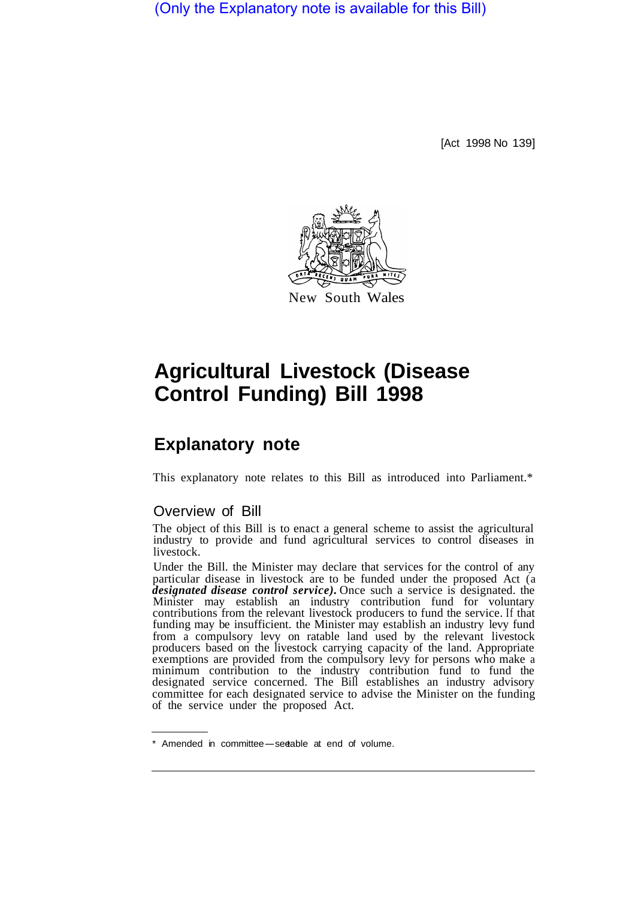(Only the Explanatory note is available for this Bill)

[Act 1998 No 139]



# **Agricultural Livestock (Disease Control Funding) Bill 1998**

## **Explanatory note**

This explanatory note relates to this Bill as introduced into Parliament.\*

## Overview of Bill

The object of this Bill is to enact a general scheme to assist the agricultural industry to provide and fund agricultural services to control diseases in livestock.

Under the Bill. the Minister may declare that services for the control of any particular disease in livestock are to be funded under the proposed Act (a *designated disease control service).* Once such a service is designated. the Minister may establish an industry contribution fund for voluntary contributions from the relevant livestock producers to fund the service. If that funding may be insufficient. the Minister may establish an industry levy fund from a compulsory levy on ratable land used by the relevant livestock producers based on the livestock carrying capacity of the land. Appropriate exemptions are provided from the compulsory levy for persons who make a minimum contribution to the industry contribution fund to fund the designated service concerned. The Bill establishes an industry advisory committee for each designated service to advise the Minister on the funding of the service under the proposed Act.

<sup>\*</sup> Amended in committee-see table at end of volume.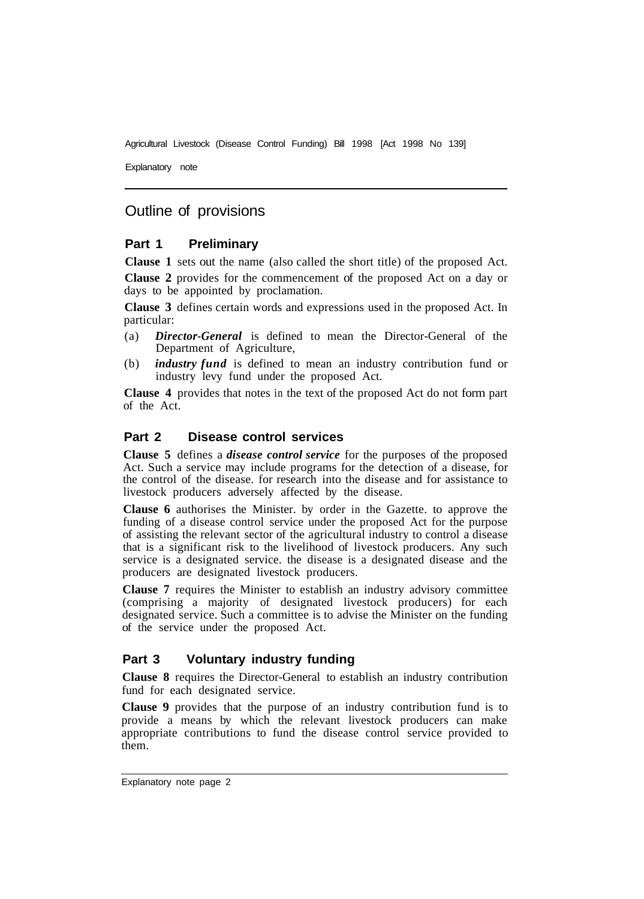Explanatory note

## Outline of provisions

## **Part 1 Preliminary**

**Clause 1** sets out the name (also called the short title) of the proposed Act.

**Clause 2** provides for the commencement of the proposed Act on a day or days to be appointed by proclamation.

**Clause 3** defines certain words and expressions used in the proposed Act. In particular:

- (a) *Director-General* is defined to mean the Director-General of the Department of Agriculture,
- (b) *industry fund* is defined to mean an industry contribution fund or industry levy fund under the proposed Act.

**Clause 4** provides that notes in the text of the proposed Act do not form part of the Act.

## **Part 2 Disease control services**

**Clause 5** defines a *disease control service* for the purposes of the proposed Act. Such a service may include programs for the detection of a disease, for the control of the disease. for research into the disease and for assistance to livestock producers adversely affected by the disease.

**Clause 6** authorises the Minister. by order in the Gazette. to approve the funding of a disease control service under the proposed Act for the purpose of assisting the relevant sector of the agricultural industry to control a disease that is a significant risk to the livelihood of livestock producers. Any such service is a designated service. the disease is a designated disease and the producers are designated livestock producers.

**Clause 7** requires the Minister to establish an industry advisory committee (comprising a majority of designated livestock producers) for each designated service. Such a committee is to advise the Minister on the funding of the service under the proposed Act.

## **Part 3 Voluntary industry funding**

**Clause 8** requires the Director-General to establish an industry contribution fund for each designated service.

**Clause 9** provides that the purpose of an industry contribution fund is to provide a means by which the relevant livestock producers can make appropriate contributions to fund the disease control service provided to them.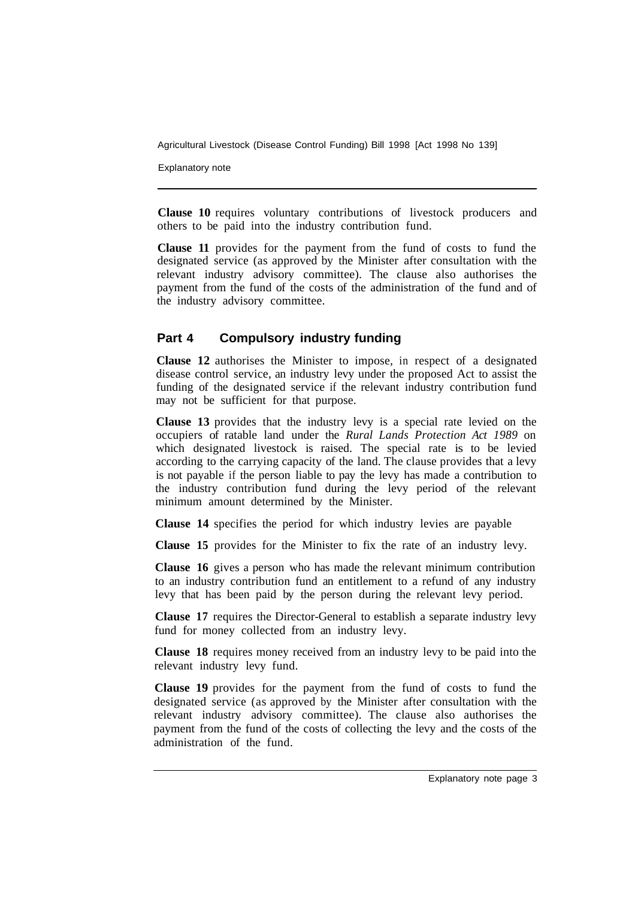Explanatory note

**Clause 10** requires voluntary contributions of livestock producers and others to be paid into the industry contribution fund.

**Clause 11** provides for the payment from the fund of costs to fund the designated service (as approved by the Minister after consultation with the relevant industry advisory committee). The clause also authorises the payment from the fund of the costs of the administration of the fund and of the industry advisory committee.

## **Part 4 Compulsory industry funding**

**Clause 12** authorises the Minister to impose, in respect of a designated disease control service, an industry levy under the proposed Act to assist the funding of the designated service if the relevant industry contribution fund may not be sufficient for that purpose.

**Clause 13** provides that the industry levy is a special rate levied on the occupiers of ratable land under the *Rural Lands Protection Act 1989* on which designated livestock is raised. The special rate is to be levied according to the carrying capacity of the land. The clause provides that a levy is not payable if the person liable to pay the levy has made a contribution to the industry contribution fund during the levy period of the relevant minimum amount determined by the Minister.

**Clause 14** specifies the period for which industry levies are payable

**Clause 15** provides for the Minister to fix the rate of an industry levy.

**Clause 16** gives a person who has made the relevant minimum contribution to an industry contribution fund an entitlement to a refund of any industry levy that has been paid by the person during the relevant levy period.

**Clause 17** requires the Director-General to establish a separate industry levy fund for money collected from an industry levy.

**Clause 18** requires money received from an industry levy to be paid into the relevant industry levy fund.

**Clause 19** provides for the payment from the fund of costs to fund the designated service (as approved by the Minister after consultation with the relevant industry advisory committee). The clause also authorises the payment from the fund of the costs of collecting the levy and the costs of the administration of the fund.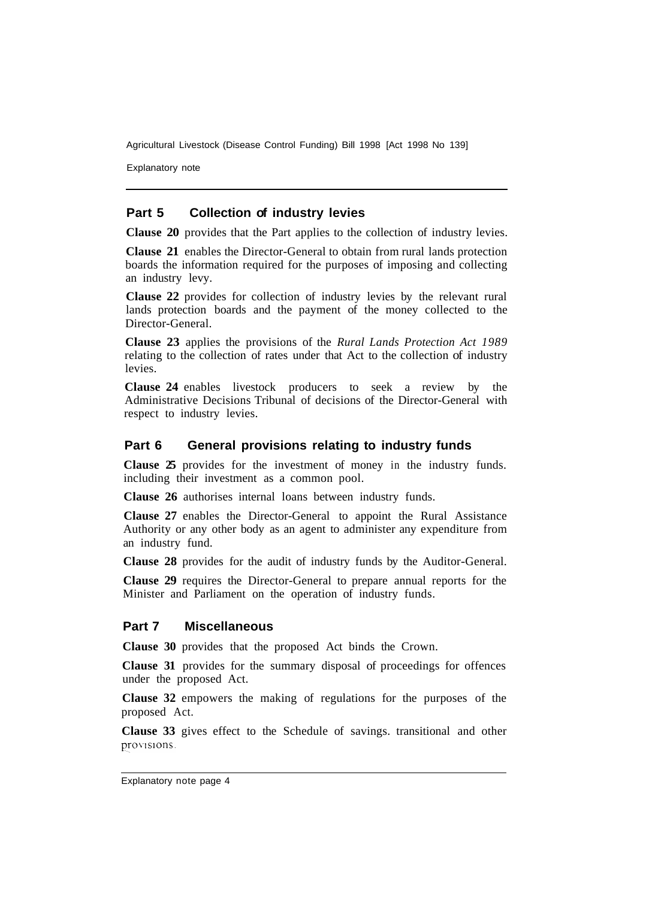Explanatory note

#### **Part 5 Collection of industry levies**

**Clause 20** provides that the Part applies to the collection of industry levies.

**Clause 21** enables the Director-General to obtain from rural lands protection boards the information required for the purposes of imposing and collecting an industry levy.

**Clause 22** provides for collection of industry levies by the relevant rural lands protection boards and the payment of the money collected to the Director-General.

**Clause 23** applies the provisions of the *Rural Lands Protection Act 1989*  relating to the collection of rates under that Act to the collection of industry levies.

**Clause 24** enables livestock producers to seek a review by the Administrative Decisions Tribunal of decisions of the Director-General with respect to industry levies.

#### **Part 6 General provisions relating to industry funds**

**Clause 25** provides for the investment of money in the industry funds. including their investment as a common pool.

**Clause 26** authorises internal loans between industry funds.

**Clause 27** enables the Director-General to appoint the Rural Assistance Authority or any other body as an agent to administer any expenditure from an industry fund.

**Clause 28** provides for the audit of industry funds by the Auditor-General.

**Clause 29** requires the Director-General to prepare annual reports for the Minister and Parliament on the operation of industry funds.

#### **Part 7 Miscellaneous**

**Clause 30** provides that the proposed Act binds the Crown.

**Clause 31** provides for the summary disposal of proceedings for offences under the proposed Act.

**Clause 32** empowers the making of regulations for the purposes of the proposed Act.

**Clause 33** gives effect to the Schedule of savings. transitional and other provisions.